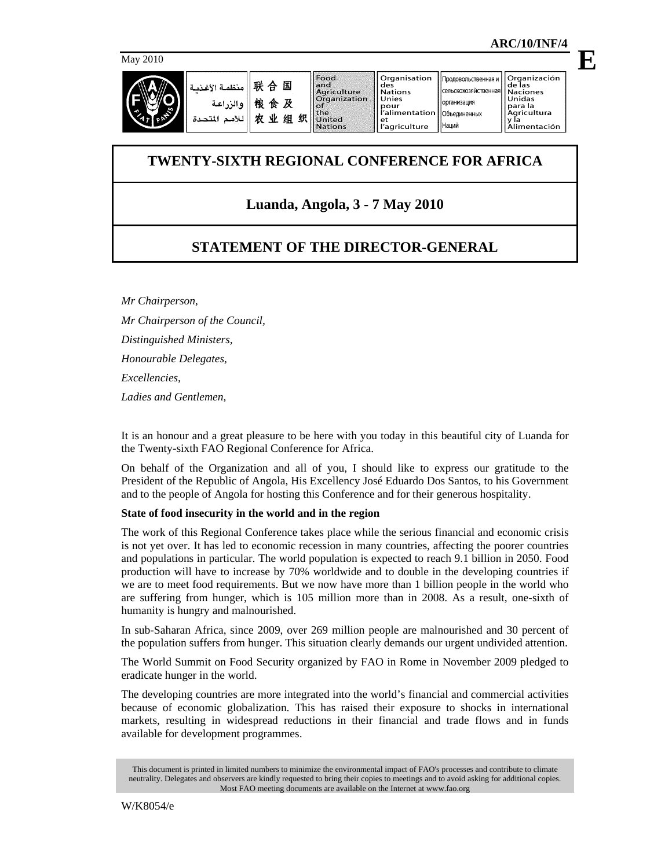

| S. | . منظمة الأغذمة ا<br>والزراعة<br>المتحدة<br>للأمد | 联<br>国<br>₳<br>桹<br>R<br>食<br>织<br>۰W<br>组<br>٠IJ | . Food<br>land<br><b>Aariculture</b><br><b>Organization</b><br><b>POT</b><br><b>Ithe</b><br><b>United</b><br><b>Nations</b> | l Organisation<br>des<br><b>Nations</b><br>Unies<br>pour<br>l'alimentation   Объединенных<br>et<br>'  l'agriculture | Продовольственная и І<br>Сельскохозяйственная   Naciones<br><b>ПОРГАНИЗАЦИЯ</b><br><b>Наций</b> | Organización<br>de las<br>Unidas<br>Toara la<br>' Aaricultura<br>Alimentación |
|----|---------------------------------------------------|---------------------------------------------------|-----------------------------------------------------------------------------------------------------------------------------|---------------------------------------------------------------------------------------------------------------------|-------------------------------------------------------------------------------------------------|-------------------------------------------------------------------------------|
|----|---------------------------------------------------|---------------------------------------------------|-----------------------------------------------------------------------------------------------------------------------------|---------------------------------------------------------------------------------------------------------------------|-------------------------------------------------------------------------------------------------|-------------------------------------------------------------------------------|

# **TWENTY-SIXTH REGIONAL CONFERENCE FOR AFRICA**

# **Luanda, Angola, 3 - 7 May 2010**

# **STATEMENT OF THE DIRECTOR-GENERAL**

*Mr Chairperson, Mr Chairperson of the Council, Distinguished Ministers, Honourable Delegates, Excellencies, Ladies and Gentlemen,* 

It is an honour and a great pleasure to be here with you today in this beautiful city of Luanda for the Twenty-sixth FAO Regional Conference for Africa.

On behalf of the Organization and all of you, I should like to express our gratitude to the President of the Republic of Angola, His Excellency José Eduardo Dos Santos, to his Government and to the people of Angola for hosting this Conference and for their generous hospitality.

# **State of food insecurity in the world and in the region**

The work of this Regional Conference takes place while the serious financial and economic crisis is not yet over. It has led to economic recession in many countries, affecting the poorer countries and populations in particular. The world population is expected to reach 9.1 billion in 2050. Food production will have to increase by 70% worldwide and to double in the developing countries if we are to meet food requirements. But we now have more than 1 billion people in the world who are suffering from hunger, which is 105 million more than in 2008. As a result, one-sixth of humanity is hungry and malnourished.

In sub-Saharan Africa, since 2009, over 269 million people are malnourished and 30 percent of the population suffers from hunger. This situation clearly demands our urgent undivided attention.

The World Summit on Food Security organized by FAO in Rome in November 2009 pledged to eradicate hunger in the world.

The developing countries are more integrated into the world's financial and commercial activities because of economic globalization. This has raised their exposure to shocks in international markets, resulting in widespread reductions in their financial and trade flows and in funds available for development programmes.

This document is printed in limited numbers to minimize the environmental impact of FAO's processes and contribute to climate neutrality. Delegates and observers are kindly requested to bring their copies to meetings and to avoid asking for additional copies. Most FAO meeting documents are available on the Internet at www.fao.org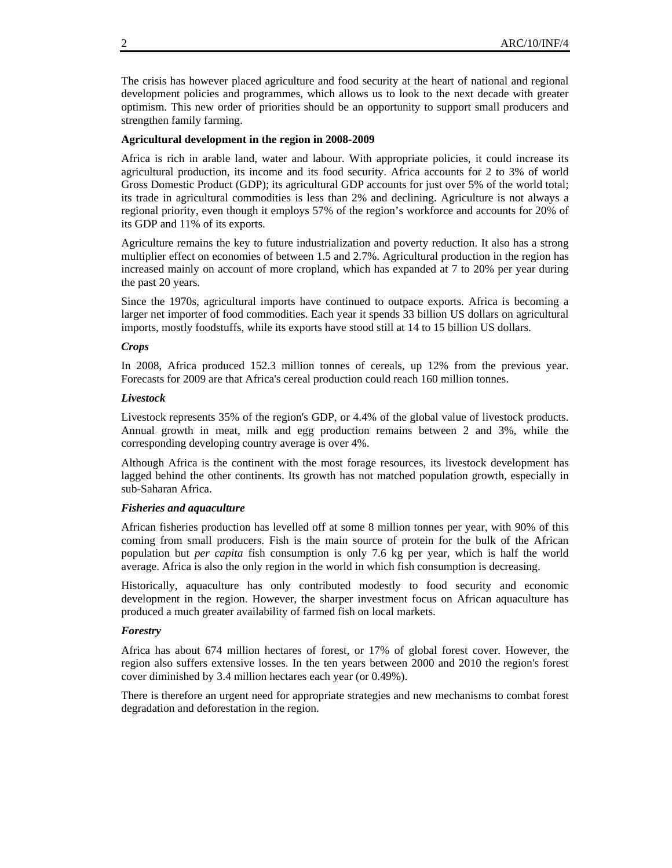The crisis has however placed agriculture and food security at the heart of national and regional development policies and programmes, which allows us to look to the next decade with greater optimism. This new order of priorities should be an opportunity to support small producers and strengthen family farming.

## **Agricultural development in the region in 2008-2009**

Africa is rich in arable land, water and labour. With appropriate policies, it could increase its agricultural production, its income and its food security. Africa accounts for 2 to 3% of world Gross Domestic Product (GDP); its agricultural GDP accounts for just over 5% of the world total; its trade in agricultural commodities is less than 2% and declining. Agriculture is not always a regional priority, even though it employs 57% of the region's workforce and accounts for 20% of its GDP and 11% of its exports.

Agriculture remains the key to future industrialization and poverty reduction. It also has a strong multiplier effect on economies of between 1.5 and 2.7%. Agricultural production in the region has increased mainly on account of more cropland, which has expanded at 7 to 20% per year during the past 20 years.

Since the 1970s, agricultural imports have continued to outpace exports. Africa is becoming a larger net importer of food commodities. Each year it spends 33 billion US dollars on agricultural imports, mostly foodstuffs, while its exports have stood still at 14 to 15 billion US dollars.

## *Crops*

In 2008, Africa produced 152.3 million tonnes of cereals, up 12% from the previous year. Forecasts for 2009 are that Africa's cereal production could reach 160 million tonnes.

## *Livestock*

Livestock represents 35% of the region's GDP, or 4.4% of the global value of livestock products. Annual growth in meat, milk and egg production remains between 2 and 3%, while the corresponding developing country average is over 4%.

Although Africa is the continent with the most forage resources, its livestock development has lagged behind the other continents. Its growth has not matched population growth, especially in sub-Saharan Africa.

## *Fisheries and aquaculture*

African fisheries production has levelled off at some 8 million tonnes per year, with 90% of this coming from small producers. Fish is the main source of protein for the bulk of the African population but *per capita* fish consumption is only 7.6 kg per year, which is half the world average. Africa is also the only region in the world in which fish consumption is decreasing.

Historically, aquaculture has only contributed modestly to food security and economic development in the region. However, the sharper investment focus on African aquaculture has produced a much greater availability of farmed fish on local markets.

## *Forestry*

Africa has about 674 million hectares of forest, or 17% of global forest cover. However, the region also suffers extensive losses. In the ten years between 2000 and 2010 the region's forest cover diminished by 3.4 million hectares each year (or 0.49%).

There is therefore an urgent need for appropriate strategies and new mechanisms to combat forest degradation and deforestation in the region.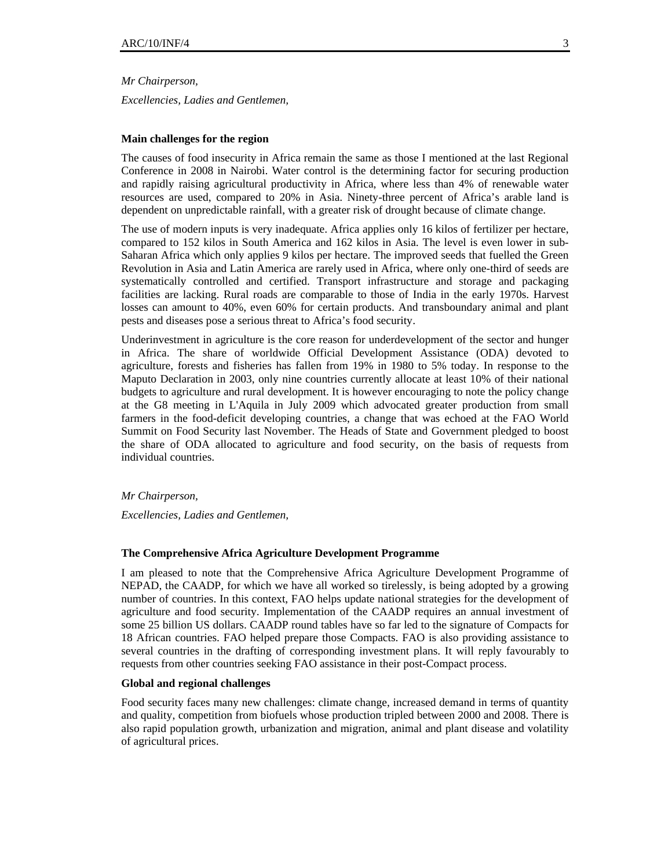*Mr Chairperson,* 

*Excellencies, Ladies and Gentlemen,* 

## **Main challenges for the region**

The causes of food insecurity in Africa remain the same as those I mentioned at the last Regional Conference in 2008 in Nairobi. Water control is the determining factor for securing production and rapidly raising agricultural productivity in Africa, where less than 4% of renewable water resources are used, compared to 20% in Asia. Ninety-three percent of Africa's arable land is dependent on unpredictable rainfall, with a greater risk of drought because of climate change.

The use of modern inputs is very inadequate. Africa applies only 16 kilos of fertilizer per hectare, compared to 152 kilos in South America and 162 kilos in Asia. The level is even lower in sub-Saharan Africa which only applies 9 kilos per hectare. The improved seeds that fuelled the Green Revolution in Asia and Latin America are rarely used in Africa, where only one-third of seeds are systematically controlled and certified. Transport infrastructure and storage and packaging facilities are lacking. Rural roads are comparable to those of India in the early 1970s. Harvest losses can amount to 40%, even 60% for certain products. And transboundary animal and plant pests and diseases pose a serious threat to Africa's food security.

Underinvestment in agriculture is the core reason for underdevelopment of the sector and hunger in Africa. The share of worldwide Official Development Assistance (ODA) devoted to agriculture, forests and fisheries has fallen from 19% in 1980 to 5% today. In response to the Maputo Declaration in 2003, only nine countries currently allocate at least 10% of their national budgets to agriculture and rural development. It is however encouraging to note the policy change at the G8 meeting in L'Aquila in July 2009 which advocated greater production from small farmers in the food-deficit developing countries, a change that was echoed at the FAO World Summit on Food Security last November. The Heads of State and Government pledged to boost the share of ODA allocated to agriculture and food security, on the basis of requests from individual countries.

#### *Mr Chairperson,*

*Excellencies, Ladies and Gentlemen,*

## **The Comprehensive Africa Agriculture Development Programme**

I am pleased to note that the Comprehensive Africa Agriculture Development Programme of NEPAD, the CAADP, for which we have all worked so tirelessly, is being adopted by a growing number of countries. In this context, FAO helps update national strategies for the development of agriculture and food security. Implementation of the CAADP requires an annual investment of some 25 billion US dollars. CAADP round tables have so far led to the signature of Compacts for 18 African countries. FAO helped prepare those Compacts. FAO is also providing assistance to several countries in the drafting of corresponding investment plans. It will reply favourably to requests from other countries seeking FAO assistance in their post-Compact process.

#### **Global and regional challenges**

Food security faces many new challenges: climate change, increased demand in terms of quantity and quality, competition from biofuels whose production tripled between 2000 and 2008. There is also rapid population growth, urbanization and migration, animal and plant disease and volatility of agricultural prices.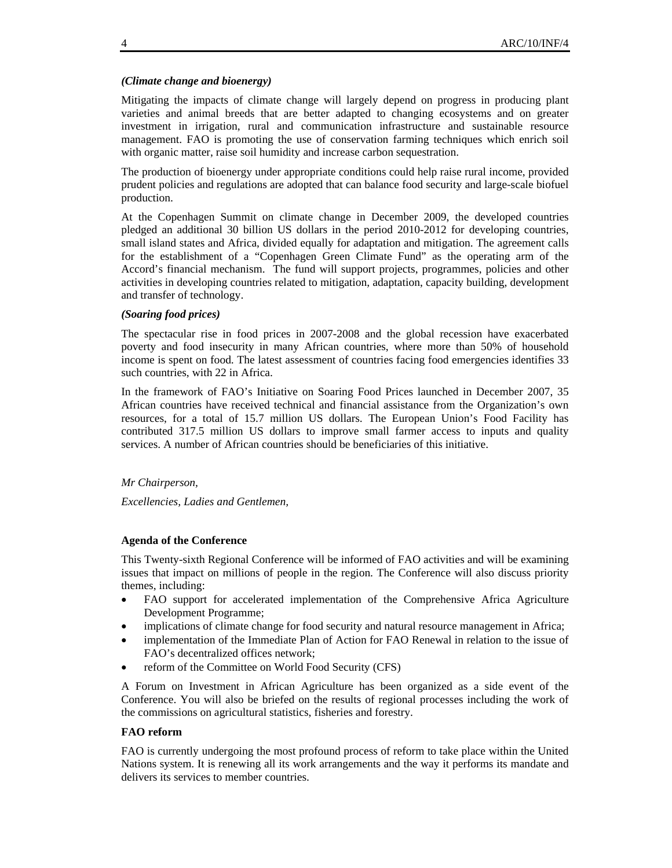## *(Climate change and bioenergy)*

Mitigating the impacts of climate change will largely depend on progress in producing plant varieties and animal breeds that are better adapted to changing ecosystems and on greater investment in irrigation, rural and communication infrastructure and sustainable resource management. FAO is promoting the use of conservation farming techniques which enrich soil with organic matter, raise soil humidity and increase carbon sequestration.

The production of bioenergy under appropriate conditions could help raise rural income, provided prudent policies and regulations are adopted that can balance food security and large-scale biofuel production.

At the Copenhagen Summit on climate change in December 2009, the developed countries pledged an additional 30 billion US dollars in the period 2010-2012 for developing countries, small island states and Africa, divided equally for adaptation and mitigation. The agreement calls for the establishment of a "Copenhagen Green Climate Fund" as the operating arm of the Accord's financial mechanism. The fund will support projects, programmes, policies and other activities in developing countries related to mitigation, adaptation, capacity building, development and transfer of technology.

## *(Soaring food prices)*

The spectacular rise in food prices in 2007-2008 and the global recession have exacerbated poverty and food insecurity in many African countries, where more than 50% of household income is spent on food. The latest assessment of countries facing food emergencies identifies 33 such countries, with 22 in Africa.

In the framework of FAO's Initiative on Soaring Food Prices launched in December 2007, 35 African countries have received technical and financial assistance from the Organization's own resources, for a total of 15.7 million US dollars. The European Union's Food Facility has contributed 317.5 million US dollars to improve small farmer access to inputs and quality services. A number of African countries should be beneficiaries of this initiative.

## *Mr Chairperson,*

*Excellencies, Ladies and Gentlemen,* 

## **Agenda of the Conference**

This Twenty-sixth Regional Conference will be informed of FAO activities and will be examining issues that impact on millions of people in the region. The Conference will also discuss priority themes, including:

- FAO support for accelerated implementation of the Comprehensive Africa Agriculture Development Programme;
- implications of climate change for food security and natural resource management in Africa;
- implementation of the Immediate Plan of Action for FAO Renewal in relation to the issue of FAO's decentralized offices network;
- reform of the Committee on World Food Security (CFS)

A Forum on Investment in African Agriculture has been organized as a side event of the Conference. You will also be briefed on the results of regional processes including the work of the commissions on agricultural statistics, fisheries and forestry.

## **FAO reform**

FAO is currently undergoing the most profound process of reform to take place within the United Nations system. It is renewing all its work arrangements and the way it performs its mandate and delivers its services to member countries.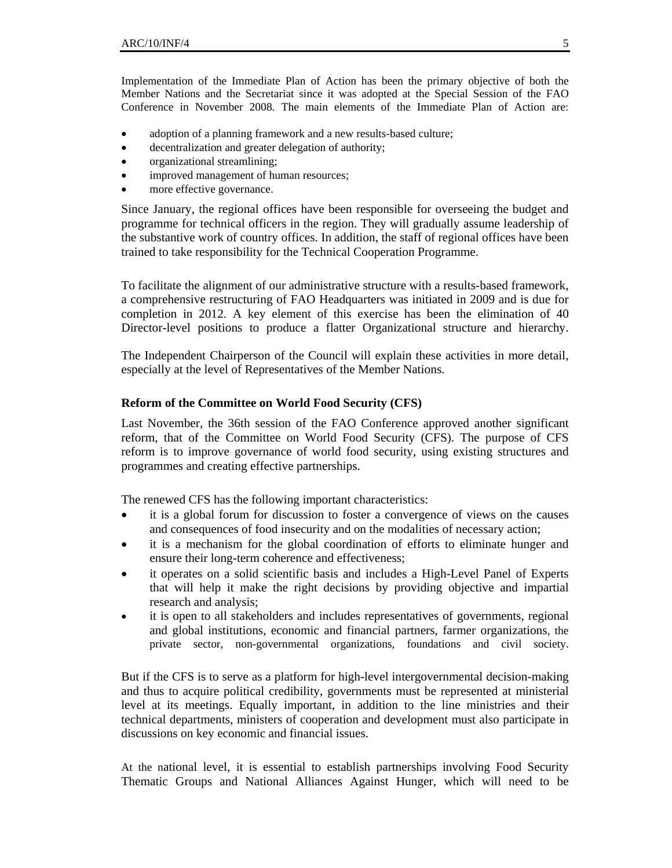Implementation of the Immediate Plan of Action has been the primary objective of both the Member Nations and the Secretariat since it was adopted at the Special Session of the FAO Conference in November 2008. The main elements of the Immediate Plan of Action are:

- adoption of a planning framework and a new results-based culture;
- decentralization and greater delegation of authority;
- organizational streamlining;
- improved management of human resources;
- more effective governance.

Since January, the regional offices have been responsible for overseeing the budget and programme for technical officers in the region. They will gradually assume leadership of the substantive work of country offices. In addition, the staff of regional offices have been trained to take responsibility for the Technical Cooperation Programme.

To facilitate the alignment of our administrative structure with a results-based framework, a comprehensive restructuring of FAO Headquarters was initiated in 2009 and is due for completion in 2012. A key element of this exercise has been the elimination of 40 Director-level positions to produce a flatter Organizational structure and hierarchy.

The Independent Chairperson of the Council will explain these activities in more detail, especially at the level of Representatives of the Member Nations.

# **Reform of the Committee on World Food Security (CFS)**

Last November, the 36th session of the FAO Conference approved another significant reform, that of the Committee on World Food Security (CFS). The purpose of CFS reform is to improve governance of world food security, using existing structures and programmes and creating effective partnerships.

The renewed CFS has the following important characteristics:

- it is a global forum for discussion to foster a convergence of views on the causes and consequences of food insecurity and on the modalities of necessary action;
- it is a mechanism for the global coordination of efforts to eliminate hunger and ensure their long-term coherence and effectiveness;
- it operates on a solid scientific basis and includes a High-Level Panel of Experts that will help it make the right decisions by providing objective and impartial research and analysis;
- it is open to all stakeholders and includes representatives of governments, regional and global institutions, economic and financial partners, farmer organizations, the private sector, non-governmental organizations, foundations and civil society.

But if the CFS is to serve as a platform for high-level intergovernmental decision-making and thus to acquire political credibility, governments must be represented at ministerial level at its meetings. Equally important, in addition to the line ministries and their technical departments, ministers of cooperation and development must also participate in discussions on key economic and financial issues.

At the national level, it is essential to establish partnerships involving Food Security Thematic Groups and National Alliances Against Hunger, which will need to be